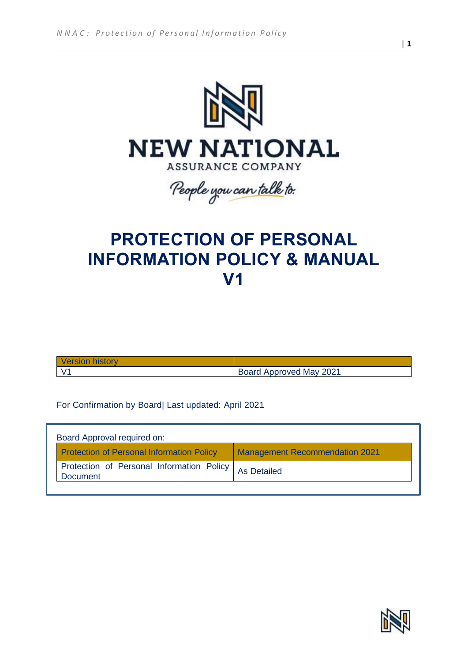

People you can talk to.

# **PROTECTION OF PERSONAL INFORMATION POLICY & MANUAL V1**

| <b>Version history</b> |                         |
|------------------------|-------------------------|
|                        | Board Approved May 2021 |

For Confirmation by Board| Last updated: April 2021

| Board Approval required on:                                                               |                    |
|-------------------------------------------------------------------------------------------|--------------------|
| <b>Protection of Personal Information Policy</b><br><b>Management Recommendation 2021</b> |                    |
| Protection of Personal Information Policy<br><b>Document</b>                              | <b>As Detailed</b> |

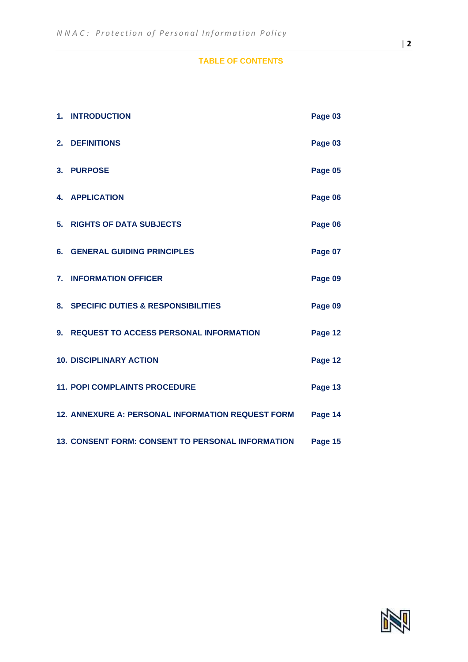## **TABLE OF CONTENTS**

|    | 1. INTRODUCTION                                   | Page 03 |
|----|---------------------------------------------------|---------|
| 2. | <b>DEFINITIONS</b>                                | Page 03 |
|    | 3. PURPOSE                                        | Page 05 |
|    | <b>4. APPLICATION</b>                             | Page 06 |
| 5. | <b>RIGHTS OF DATA SUBJECTS</b>                    | Page 06 |
| 6. | <b>GENERAL GUIDING PRINCIPLES</b>                 | Page 07 |
|    | 7. INFORMATION OFFICER                            | Page 09 |
|    | 8. SPECIFIC DUTIES & RESPONSIBILITIES             | Page 09 |
| 9. | <b>REQUEST TO ACCESS PERSONAL INFORMATION</b>     | Page 12 |
|    | <b>10. DISCIPLINARY ACTION</b>                    | Page 12 |
|    | <b>11. POPI COMPLAINTS PROCEDURE</b>              | Page 13 |
|    | 12. ANNEXURE A: PERSONAL INFORMATION REQUEST FORM | Page 14 |
|    | 13. CONSENT FORM: CONSENT TO PERSONAL INFORMATION | Page 15 |

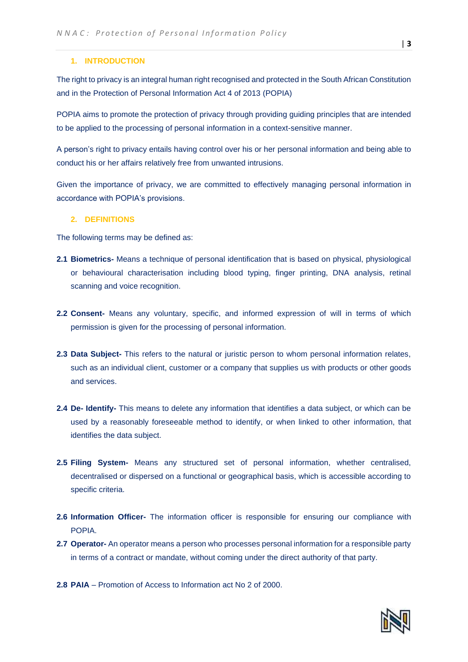#### **1. INTRODUCTION**

The right to privacy is an integral human right recognised and protected in the South African Constitution and in the Protection of Personal Information Act 4 of 2013 (POPIA)

POPIA aims to promote the protection of privacy through providing guiding principles that are intended to be applied to the processing of personal information in a context-sensitive manner.

A person's right to privacy entails having control over his or her personal information and being able to conduct his or her affairs relatively free from unwanted intrusions.

Given the importance of privacy, we are committed to effectively managing personal information in accordance with POPIA's provisions.

#### **2. DEFINITIONS**

The following terms may be defined as:

- **2.1 Biometrics-** Means a technique of personal identification that is based on physical, physiological or behavioural characterisation including blood typing, finger printing, DNA analysis, retinal scanning and voice recognition.
- **2.2 Consent-** Means any voluntary, specific, and informed expression of will in terms of which permission is given for the processing of personal information.
- **2.3 Data Subject-** This refers to the natural or juristic person to whom personal information relates, such as an individual client, customer or a company that supplies us with products or other goods and services.
- **2.4 De- Identify-** This means to delete any information that identifies a data subject, or which can be used by a reasonably foreseeable method to identify, or when linked to other information, that identifies the data subject.
- **2.5 Filing System-** Means any structured set of personal information, whether centralised, decentralised or dispersed on a functional or geographical basis, which is accessible according to specific criteria.
- **2.6 Information Officer-** The information officer is responsible for ensuring our compliance with POPIA.
- **2.7 Operator-** An operator means a person who processes personal information for a responsible party in terms of a contract or mandate, without coming under the direct authority of that party.
- **2.8 PAIA**  Promotion of Access to Information act No 2 of 2000.

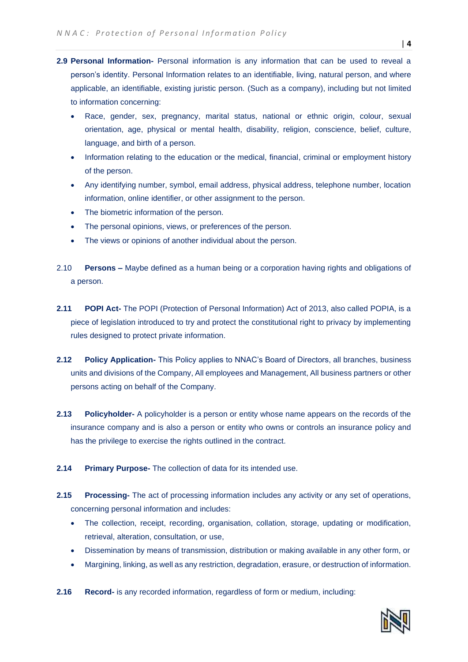- **2.9 Personal Information-** Personal information is any information that can be used to reveal a person's identity. Personal Information relates to an identifiable, living, natural person, and where applicable, an identifiable, existing juristic person. (Such as a company), including but not limited to information concerning:
	- Race, gender, sex, pregnancy, marital status, national or ethnic origin, colour, sexual orientation, age, physical or mental health, disability, religion, conscience, belief, culture, language, and birth of a person.
	- Information relating to the education or the medical, financial, criminal or employment history of the person.
	- Any identifying number, symbol, email address, physical address, telephone number, location information, online identifier, or other assignment to the person.
	- The biometric information of the person.
	- The personal opinions, views, or preferences of the person.
	- The views or opinions of another individual about the person.
- 2.10 **Persons –** Maybe defined as a human being or a corporation having rights and obligations of a person.
- **2.11 POPI Act-** The POPI (Protection of Personal Information) Act of 2013, also called POPIA, is a piece of legislation introduced to try and protect the constitutional right to privacy by implementing rules designed to protect private information.
- **2.12 Policy Application-** This Policy applies to NNAC's Board of Directors, all branches, business units and divisions of the Company, All employees and Management, All business partners or other persons acting on behalf of the Company.
- **2.13 Policyholder-** A policyholder is a person or entity whose name appears on the records of the insurance company and is also a person or entity who owns or controls an insurance policy and has the privilege to exercise the rights outlined in the contract.
- **2.14 Primary Purpose-** The collection of data for its intended use.
- **2.15 Processing-** The act of processing information includes any activity or any set of operations, concerning personal information and includes:
	- The collection, receipt, recording, organisation, collation, storage, updating or modification, retrieval, alteration, consultation, or use,
	- Dissemination by means of transmission, distribution or making available in any other form, or
	- Margining, linking, as well as any restriction, degradation, erasure, or destruction of information.
- **2.16 Record-** is any recorded information, regardless of form or medium, including: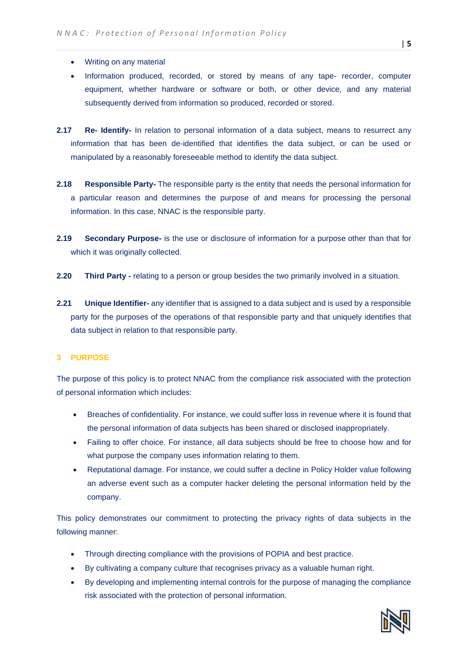- Writing on any material
- Information produced, recorded, or stored by means of any tape- recorder, computer equipment, whether hardware or software or both, or other device, and any material subsequently derived from information so produced, recorded or stored.
- **2.17 Re- Identify-** In relation to personal information of a data subject, means to resurrect any information that has been de-identified that identifies the data subject, or can be used or manipulated by a reasonably foreseeable method to identify the data subject.
- **2.18 Responsible Party-** The responsible party is the entity that needs the personal information for a particular reason and determines the purpose of and means for processing the personal information. In this case, NNAC is the responsible party.
- **2.19 Secondary Purpose-** is the use or disclosure of information for a purpose other than that for which it was originally collected.
- **2.20 Third Party -** relating to a person or group besides the two primarily involved in a situation.
- **2.21 Unique Identifier-** any identifier that is assigned to a data subject and is used by a responsible party for the purposes of the operations of that responsible party and that uniquely identifies that data subject in relation to that responsible party.

#### **3 PURPOSE**

The purpose of this policy is to protect NNAC from the compliance risk associated with the protection of personal information which includes:

- Breaches of confidentiality. For instance, we could suffer loss in revenue where it is found that the personal information of data subjects has been shared or disclosed inappropriately.
- Failing to offer choice. For instance, all data subjects should be free to choose how and for what purpose the company uses information relating to them.
- Reputational damage. For instance, we could suffer a decline in Policy Holder value following an adverse event such as a computer hacker deleting the personal information held by the company.

This policy demonstrates our commitment to protecting the privacy rights of data subjects in the following manner:

- Through directing compliance with the provisions of POPIA and best practice.
- By cultivating a company culture that recognises privacy as a valuable human right.
- By developing and implementing internal controls for the purpose of managing the compliance risk associated with the protection of personal information.

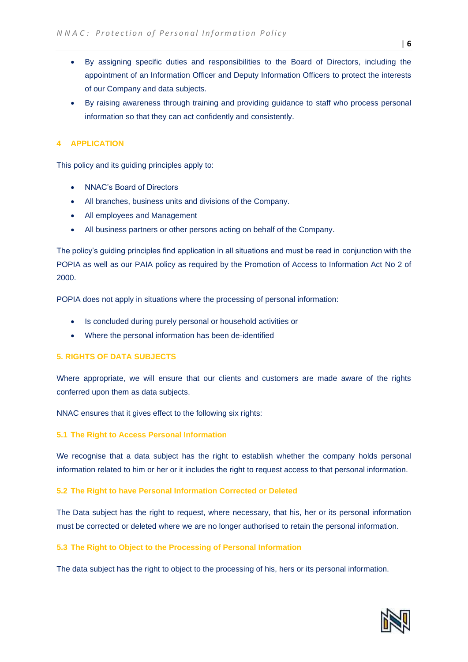- By assigning specific duties and responsibilities to the Board of Directors, including the appointment of an Information Officer and Deputy Information Officers to protect the interests of our Company and data subjects.
- By raising awareness through training and providing guidance to staff who process personal information so that they can act confidently and consistently.

## **4 APPLICATION**

This policy and its guiding principles apply to:

- NNAC's Board of Directors
- All branches, business units and divisions of the Company.
- All employees and Management
- All business partners or other persons acting on behalf of the Company.

The policy's guiding principles find application in all situations and must be read in conjunction with the POPIA as well as our PAIA policy as required by the Promotion of Access to Information Act No 2 of 2000.

POPIA does not apply in situations where the processing of personal information:

- Is concluded during purely personal or household activities or
- Where the personal information has been de-identified

#### **5. RIGHTS OF DATA SUBJECTS**

Where appropriate, we will ensure that our clients and customers are made aware of the rights conferred upon them as data subjects.

NNAC ensures that it gives effect to the following six rights:

#### **5.1 The Right to Access Personal Information**

We recognise that a data subject has the right to establish whether the company holds personal information related to him or her or it includes the right to request access to that personal information.

#### **5.2 The Right to have Personal Information Corrected or Deleted**

The Data subject has the right to request, where necessary, that his, her or its personal information must be corrected or deleted where we are no longer authorised to retain the personal information.

## **5.3 The Right to Object to the Processing of Personal Information**

The data subject has the right to object to the processing of his, hers or its personal information.

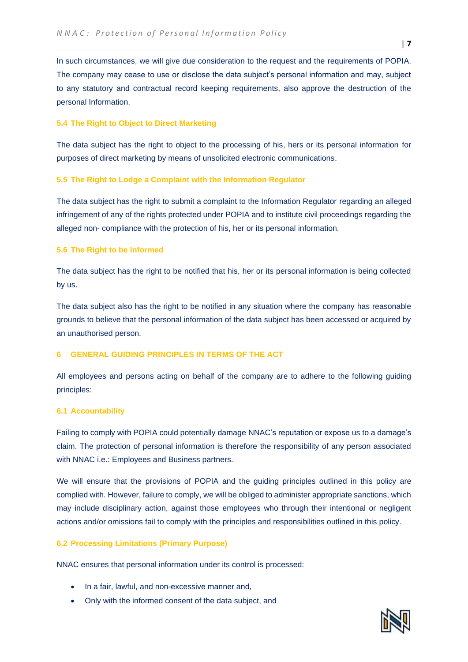In such circumstances, we will give due consideration to the request and the requirements of POPIA. The company may cease to use or disclose the data subject's personal information and may, subject to any statutory and contractual record keeping requirements, also approve the destruction of the personal Information.

## **5.4 The Right to Object to Direct Marketing**

The data subject has the right to object to the processing of his, hers or its personal information for purposes of direct marketing by means of unsolicited electronic communications.

#### **5.5 The Right to Lodge a Complaint with the Information Regulator**

The data subject has the right to submit a complaint to the Information Regulator regarding an alleged infringement of any of the rights protected under POPIA and to institute civil proceedings regarding the alleged non- compliance with the protection of his, her or its personal information.

## **5.6 The Right to be Informed**

The data subject has the right to be notified that his, her or its personal information is being collected by us.

The data subject also has the right to be notified in any situation where the company has reasonable grounds to believe that the personal information of the data subject has been accessed or acquired by an unauthorised person.

# **6 GENERAL GUIDING PRINCIPLES IN TERMS OF THE ACT**

All employees and persons acting on behalf of the company are to adhere to the following guiding principles:

#### **6.1 Accountability**

Failing to comply with POPIA could potentially damage NNAC's reputation or expose us to a damage's claim. The protection of personal information is therefore the responsibility of any person associated with NNAC i.e.: Employees and Business partners.

We will ensure that the provisions of POPIA and the guiding principles outlined in this policy are complied with. However, failure to comply, we will be obliged to administer appropriate sanctions, which may include disciplinary action, against those employees who through their intentional or negligent actions and/or omissions fail to comply with the principles and responsibilities outlined in this policy.

#### **6.2 Processing Limitations (Primary Purpose)**

NNAC ensures that personal information under its control is processed:

- In a fair, lawful, and non-excessive manner and,
- Only with the informed consent of the data subject, and

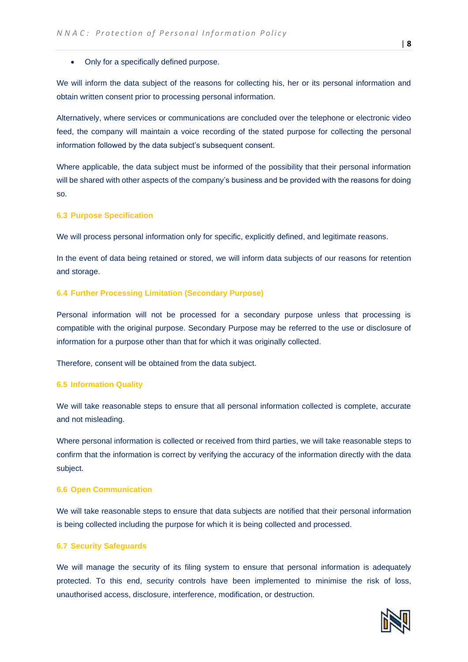#### • Only for a specifically defined purpose.

We will inform the data subject of the reasons for collecting his, her or its personal information and obtain written consent prior to processing personal information.

Alternatively, where services or communications are concluded over the telephone or electronic video feed, the company will maintain a voice recording of the stated purpose for collecting the personal information followed by the data subject's subsequent consent.

Where applicable, the data subject must be informed of the possibility that their personal information will be shared with other aspects of the company's business and be provided with the reasons for doing so.

#### **6.3 Purpose Specification**

We will process personal information only for specific, explicitly defined, and legitimate reasons.

In the event of data being retained or stored, we will inform data subjects of our reasons for retention and storage.

#### **6.4 Further Processing Limitation (Secondary Purpose)**

Personal information will not be processed for a secondary purpose unless that processing is compatible with the original purpose. Secondary Purpose may be referred to the use or disclosure of information for a purpose other than that for which it was originally collected.

Therefore, consent will be obtained from the data subject.

#### **6.5 Information Quality**

We will take reasonable steps to ensure that all personal information collected is complete, accurate and not misleading.

Where personal information is collected or received from third parties, we will take reasonable steps to confirm that the information is correct by verifying the accuracy of the information directly with the data subject.

#### **6.6 Open Communication**

We will take reasonable steps to ensure that data subjects are notified that their personal information is being collected including the purpose for which it is being collected and processed.

#### **6.7 Security Safeguards**

We will manage the security of its filing system to ensure that personal information is adequately protected. To this end, security controls have been implemented to minimise the risk of loss, unauthorised access, disclosure, interference, modification, or destruction.

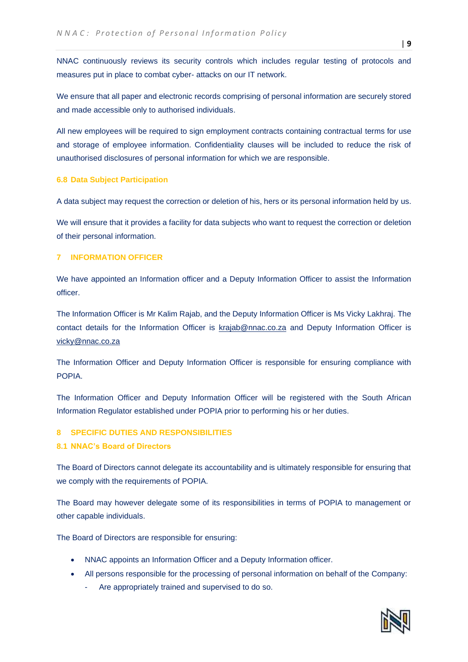NNAC continuously reviews its security controls which includes regular testing of protocols and measures put in place to combat cyber- attacks on our IT network.

We ensure that all paper and electronic records comprising of personal information are securely stored and made accessible only to authorised individuals.

All new employees will be required to sign employment contracts containing contractual terms for use and storage of employee information. Confidentiality clauses will be included to reduce the risk of unauthorised disclosures of personal information for which we are responsible.

#### **6.8 Data Subject Participation**

A data subject may request the correction or deletion of his, hers or its personal information held by us.

We will ensure that it provides a facility for data subjects who want to request the correction or deletion of their personal information.

#### **7 INFORMATION OFFICER**

We have appointed an Information officer and a Deputy Information Officer to assist the Information officer.

The Information Officer is Mr Kalim Rajab, and the Deputy Information Officer is Ms Vicky Lakhraj. The contact details for the Information Officer is [krajab@nnac.co.za](mailto:krajab@nnac.co.za) and Deputy Information Officer is vicky@nnac.co.za

The Information Officer and Deputy Information Officer is responsible for ensuring compliance with POPIA.

The Information Officer and Deputy Information Officer will be registered with the South African Information Regulator established under POPIA prior to performing his or her duties.

#### **8 SPECIFIC DUTIES AND RESPONSIBILITIES**

#### **8.1 NNAC's Board of Directors**

The Board of Directors cannot delegate its accountability and is ultimately responsible for ensuring that we comply with the requirements of POPIA.

The Board may however delegate some of its responsibilities in terms of POPIA to management or other capable individuals.

The Board of Directors are responsible for ensuring:

- NNAC appoints an Information Officer and a Deputy Information officer.
- All persons responsible for the processing of personal information on behalf of the Company:
	- Are appropriately trained and supervised to do so.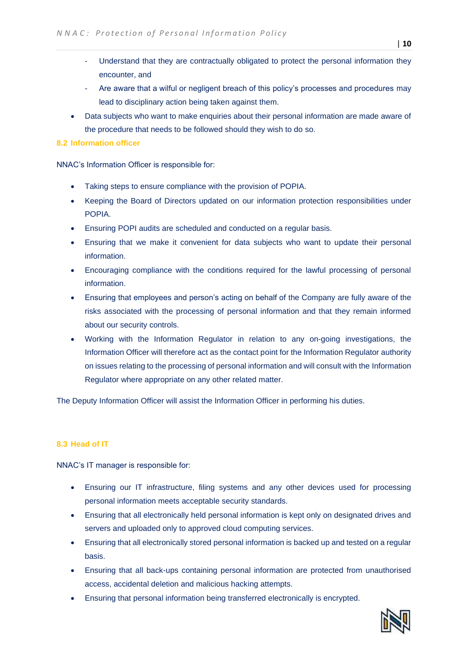- Understand that they are contractually obligated to protect the personal information they encounter, and
- Are aware that a wilful or negligent breach of this policy's processes and procedures may lead to disciplinary action being taken against them.
- Data subjects who want to make enquiries about their personal information are made aware of the procedure that needs to be followed should they wish to do so.

#### **8.2 Information officer**

NNAC's Information Officer is responsible for:

- Taking steps to ensure compliance with the provision of POPIA.
- Keeping the Board of Directors updated on our information protection responsibilities under POPIA.
- Ensuring POPI audits are scheduled and conducted on a regular basis.
- Ensuring that we make it convenient for data subjects who want to update their personal information.
- Encouraging compliance with the conditions required for the lawful processing of personal information.
- Ensuring that employees and person's acting on behalf of the Company are fully aware of the risks associated with the processing of personal information and that they remain informed about our security controls.
- Working with the Information Regulator in relation to any on-going investigations, the Information Officer will therefore act as the contact point for the Information Regulator authority on issues relating to the processing of personal information and will consult with the Information Regulator where appropriate on any other related matter.

The Deputy Information Officer will assist the Information Officer in performing his duties.

## **8.3 Head of IT**

NNAC's IT manager is responsible for:

- Ensuring our IT infrastructure, filing systems and any other devices used for processing personal information meets acceptable security standards.
- Ensuring that all electronically held personal information is kept only on designated drives and servers and uploaded only to approved cloud computing services.
- Ensuring that all electronically stored personal information is backed up and tested on a regular basis.
- Ensuring that all back-ups containing personal information are protected from unauthorised access, accidental deletion and malicious hacking attempts.
- Ensuring that personal information being transferred electronically is encrypted.

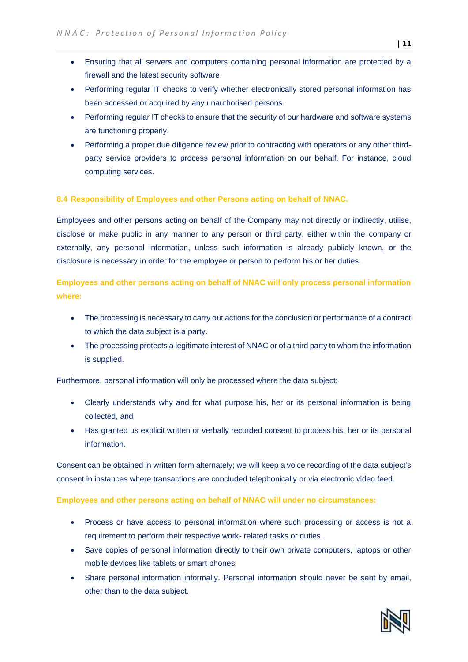- Ensuring that all servers and computers containing personal information are protected by a firewall and the latest security software.
- Performing regular IT checks to verify whether electronically stored personal information has been accessed or acquired by any unauthorised persons.
- Performing regular IT checks to ensure that the security of our hardware and software systems are functioning properly.
- Performing a proper due diligence review prior to contracting with operators or any other thirdparty service providers to process personal information on our behalf. For instance, cloud computing services.

## **8.4 Responsibility of Employees and other Persons acting on behalf of NNAC.**

Employees and other persons acting on behalf of the Company may not directly or indirectly, utilise, disclose or make public in any manner to any person or third party, either within the company or externally, any personal information, unless such information is already publicly known, or the disclosure is necessary in order for the employee or person to perform his or her duties.

**Employees and other persons acting on behalf of NNAC will only process personal information where:**

- The processing is necessary to carry out actions for the conclusion or performance of a contract to which the data subject is a party.
- The processing protects a legitimate interest of NNAC or of a third party to whom the information is supplied.

Furthermore, personal information will only be processed where the data subject:

- Clearly understands why and for what purpose his, her or its personal information is being collected, and
- Has granted us explicit written or verbally recorded consent to process his, her or its personal information.

Consent can be obtained in written form alternately; we will keep a voice recording of the data subject's consent in instances where transactions are concluded telephonically or via electronic video feed.

#### **Employees and other persons acting on behalf of NNAC will under no circumstances:**

- Process or have access to personal information where such processing or access is not a requirement to perform their respective work- related tasks or duties.
- Save copies of personal information directly to their own private computers, laptops or other mobile devices like tablets or smart phones.
- Share personal information informally. Personal information should never be sent by email, other than to the data subject.

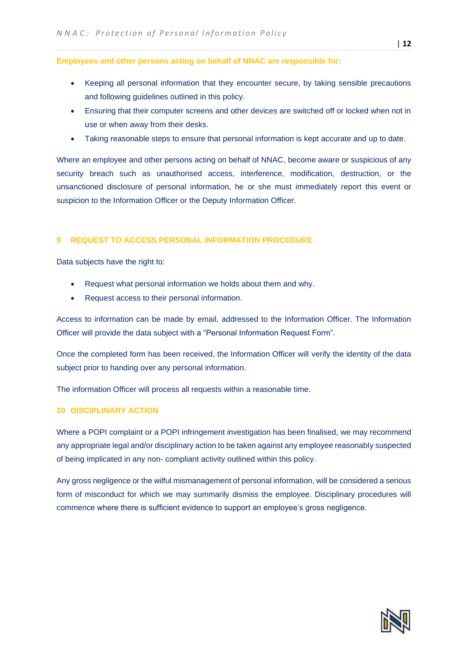**Employees and other persons acting on behalf of NNAC are responsible for:**

- Keeping all personal information that they encounter secure, by taking sensible precautions and following guidelines outlined in this policy.
- Ensuring that their computer screens and other devices are switched off or locked when not in use or when away from their desks.
- Taking reasonable steps to ensure that personal information is kept accurate and up to date.

Where an employee and other persons acting on behalf of NNAC, become aware or suspicious of any security breach such as unauthorised access, interference, modification, destruction, or the unsanctioned disclosure of personal information, he or she must immediately report this event or suspicion to the Information Officer or the Deputy Information Officer.

## **9 REQUEST TO ACCESS PERSONAL INFORMATION PROCEDURE**

Data subjects have the right to:

- Request what personal information we holds about them and why.
- Request access to their personal information.

Access to information can be made by email, addressed to the Information Officer. The Information Officer will provide the data subject with a "Personal Information Request Form".

Once the completed form has been received, the Information Officer will verify the identity of the data subject prior to handing over any personal information.

The information Officer will process all requests within a reasonable time.

#### **10 DISCIPLINARY ACTION**

Where a POPI complaint or a POPI infringement investigation has been finalised, we may recommend any appropriate legal and/or disciplinary action to be taken against any employee reasonably suspected of being implicated in any non- compliant activity outlined within this policy.

Any gross negligence or the wilful mismanagement of personal information, will be considered a serious form of misconduct for which we may summarily dismiss the employee. Disciplinary procedures will commence where there is sufficient evidence to support an employee's gross negligence.

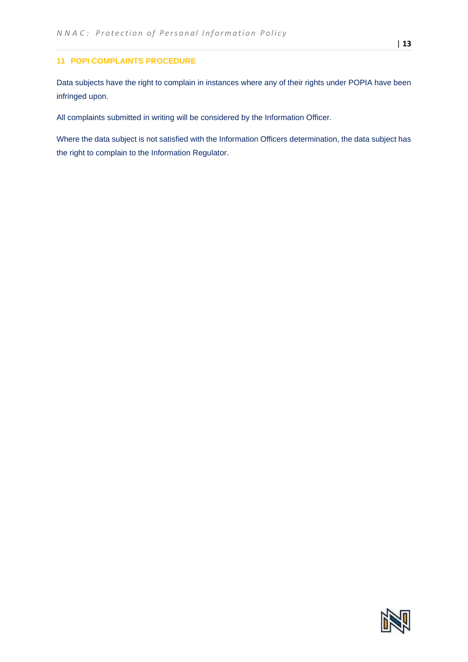## **11 POPI COMPLAINTS PROCEDURE**

Data subjects have the right to complain in instances where any of their rights under POPIA have been infringed upon.

All complaints submitted in writing will be considered by the Information Officer.

Where the data subject is not satisfied with the Information Officers determination, the data subject has the right to complain to the Information Regulator.

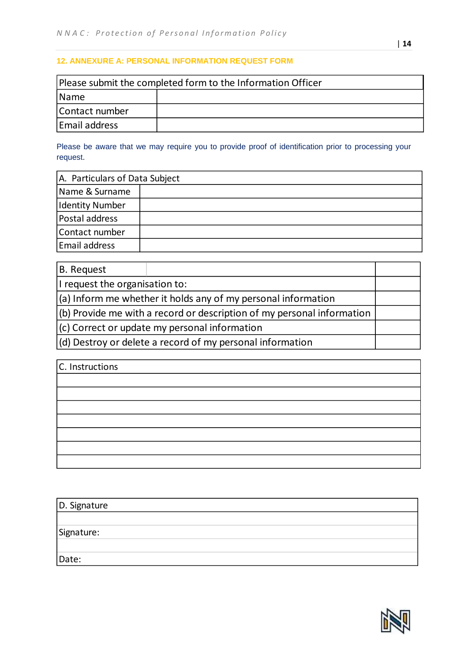# **12. ANNEXURE A: PERSONAL INFORMATION REQUEST FORM**

| Please submit the completed form to the Information Officer |  |  |
|-------------------------------------------------------------|--|--|
| Name                                                        |  |  |
| Contact number                                              |  |  |
| Email address                                               |  |  |

Please be aware that we may require you to provide proof of identification prior to processing your request.

| A. Particulars of Data Subject |  |  |
|--------------------------------|--|--|
| Name & Surname                 |  |  |
| <b>Identity Number</b>         |  |  |
| Postal address                 |  |  |
| Contact number                 |  |  |
| <b>Email address</b>           |  |  |

| B. Request                     |                                                                        |  |
|--------------------------------|------------------------------------------------------------------------|--|
| I request the organisation to: |                                                                        |  |
|                                | $(a)$ Inform me whether it holds any of my personal information        |  |
|                                | (b) Provide me with a record or description of my personal information |  |
|                                | (c) Correct or update my personal information                          |  |
|                                | $ d\rangle$ Destroy or delete a record of my personal information      |  |

| C. Instructions |  |
|-----------------|--|
|                 |  |
|                 |  |
|                 |  |
|                 |  |
|                 |  |
|                 |  |
|                 |  |

| D. Signature |  |
|--------------|--|
|              |  |
| Signature:   |  |
|              |  |
| Date:        |  |



| **14**